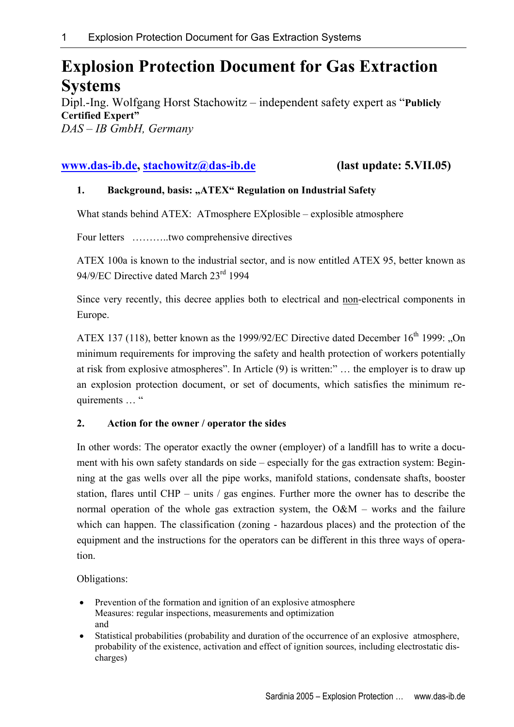# **Explosion Protection Document for Gas Extraction Systems**

Dipl.-Ing. Wolfgang Horst Stachowitz – independent safety expert as "**Publicly Certified Expert"** *DAS – IB GmbH, Germany* 

# **www.das-ib.de, stachowitz@das-ib.de (last update: 5.VII.05)**

### **1. Background, basis: "ATEX" Regulation on Industrial Safety**

What stands behind ATEX: ATmosphere EXplosible – explosible atmosphere

Four letters ………..two comprehensive directives

ATEX 100a is known to the industrial sector, and is now entitled ATEX 95, better known as 94/9/EC Directive dated March 23rd 1994

Since very recently, this decree applies both to electrical and non-electrical components in Europe.

ATEX 137 (118), better known as the 1999/92/EC Directive dated December 16<sup>th</sup> 1999: "On minimum requirements for improving the safety and health protection of workers potentially at risk from explosive atmospheres". In Article (9) is written:" … the employer is to draw up an explosion protection document, or set of documents, which satisfies the minimum requirements … "

## **2. Action for the owner / operator the sides**

In other words: The operator exactly the owner (employer) of a landfill has to write a document with his own safety standards on side – especially for the gas extraction system: Beginning at the gas wells over all the pipe works, manifold stations, condensate shafts, booster station, flares until CHP – units / gas engines. Further more the owner has to describe the normal operation of the whole gas extraction system, the  $O\&M$  – works and the failure which can happen. The classification (zoning - hazardous places) and the protection of the equipment and the instructions for the operators can be different in this three ways of operation.

#### Obligations:

- Prevention of the formation and ignition of an explosive atmosphere Measures: regular inspections, measurements and optimization and
- Statistical probabilities (probability and duration of the occurrence of an explosive atmosphere, probability of the existence, activation and effect of ignition sources, including electrostatic discharges)